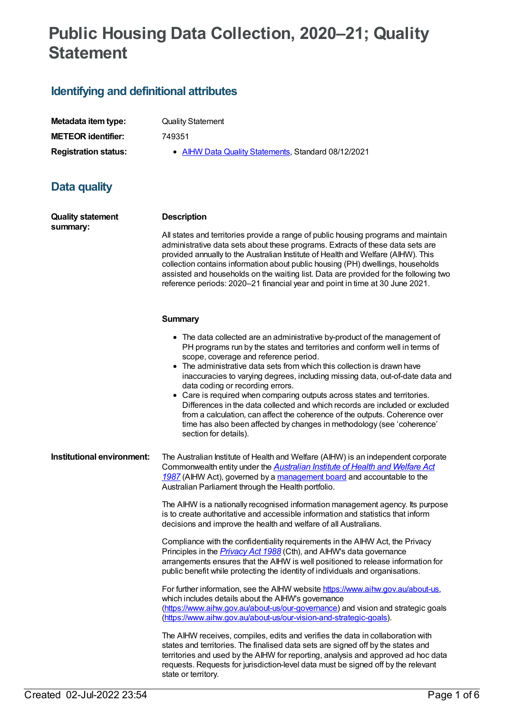## **Public Housing Data Collection, 2020–21; Quality Statement**

## **Identifying and definitional attributes**

| Metadata item type:         |
|-----------------------------|
| <b>METEOR identifier:</b>   |
| <b>Registration status:</b> |

**Quality Statement** 

**METEOR identifier:** 749351

**AIHW Data Quality [Statements](https://meteor.aihw.gov.au/RegistrationAuthority/5), Standard 08/12/2021** 

## **Data quality**

**Quality statement summary:**

#### **Description**

All states and territories provide a range of public housing programs and maintain administrative data sets about these programs. Extracts of these data sets are provided annually to the Australian Institute of Health and Welfare (AIHW). This collection contains information about public housing (PH) dwellings, households assisted and households on the waiting list. Data are provided for the following two reference periods: 2020–21 financial year and point in time at 30 June 2021.

#### **Summary**

- The data collected are an administrative by-product of the management of PH programs run by the states and territories and conform well in terms of scope, coverage and reference period.
- The administrative data sets from which this collection is drawn have inaccuracies to varying degrees, including missing data, out-of-date data and data coding or recording errors.
- Care is required when comparing outputs across states and territories. Differences in the data collected and which records are included or excluded from a calculation, can affect the coherence of the outputs. Coherence over time has also been affected by changes in methodology (see 'coherence' section for details).

**Institutional environment:** The Australian Institute of Health and Welfare (AIHW) is an independent corporate [Commonwealth](https://www.legislation.gov.au/Series/C2004A03450) entity under the *Australian Institute of Health and Welfare Act 1987* (AIHW Act), governed by a [management](https://www.aihw.gov.au/about-us/our-governance) board and accountable to the Australian Parliament through the Health portfolio.

> The AIHW is a nationally recognised information management agency. Its purpose is to create authoritative and accessible information and statistics that inform decisions and improve the health and welfare of all Australians.

Compliance with the confidentiality requirements in the AIHW Act, the Privacy Principles in the *[Privacy](https://www.legislation.gov.au/Series/C2004A03712) Act 1988* (Cth), and AIHW's data governance arrangements ensures that the AIHW is well positioned to release information for public benefit while protecting the identity of individuals and organisations.

For further information, see the AIHW website <https://www.aihw.gov.au/about-us>, which includes details about the AIHW's governance [\(https://www.aihw.gov.au/about-us/our-governance](https://www.aihw.gov.au/about-us/our-governance)) and vision and strategic goals [\(https://www.aihw.gov.au/about-us/our-vision-and-strategic-goals](https://www.aihw.gov.au/about-us/our-vision-and-strategic-goals)).

The AIHW receives, compiles, edits and verifies the data in collaboration with states and territories. The finalised data sets are signed off by the states and territories and used by the AIHW for reporting, analysis and approved ad hoc data requests. Requests for jurisdiction-level data must be signed off by the relevant state or territory.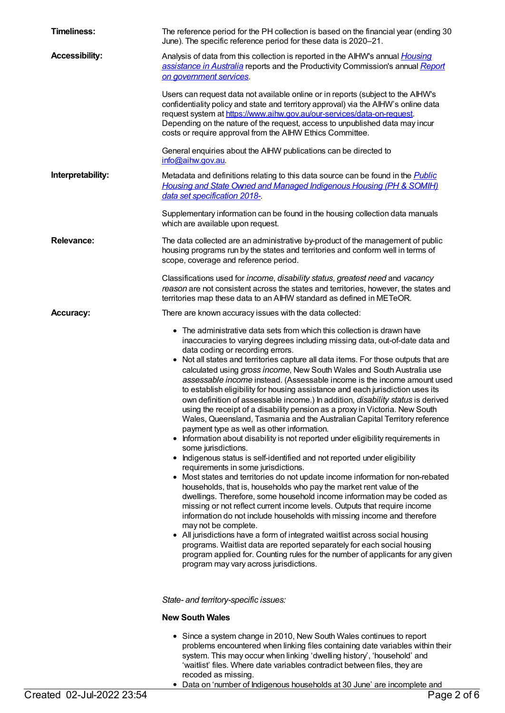| <b>Timeliness:</b>    | The reference period for the PH collection is based on the financial year (ending 30<br>June). The specific reference period for these data is 2020-21.                                                                                                                                                                                                                                                                                                                                                                                                                                                                                                                                                                                                                                                                                                                                                                                                                                                                                                                                                                                                                                                                                                                                                                                                                                                                                                                                                                                                                                                                                                                                                                                                                   |
|-----------------------|---------------------------------------------------------------------------------------------------------------------------------------------------------------------------------------------------------------------------------------------------------------------------------------------------------------------------------------------------------------------------------------------------------------------------------------------------------------------------------------------------------------------------------------------------------------------------------------------------------------------------------------------------------------------------------------------------------------------------------------------------------------------------------------------------------------------------------------------------------------------------------------------------------------------------------------------------------------------------------------------------------------------------------------------------------------------------------------------------------------------------------------------------------------------------------------------------------------------------------------------------------------------------------------------------------------------------------------------------------------------------------------------------------------------------------------------------------------------------------------------------------------------------------------------------------------------------------------------------------------------------------------------------------------------------------------------------------------------------------------------------------------------------|
| <b>Accessibility:</b> | Analysis of data from this collection is reported in the AlHW's annual <i>Housing</i><br>assistance in Australia reports and the Productivity Commission's annual Report<br>on government services.                                                                                                                                                                                                                                                                                                                                                                                                                                                                                                                                                                                                                                                                                                                                                                                                                                                                                                                                                                                                                                                                                                                                                                                                                                                                                                                                                                                                                                                                                                                                                                       |
|                       | Users can request data not available online or in reports (subject to the AIHW's<br>confidentiality policy and state and territory approval) via the AlHW's online data<br>request system at https://www.aihw.gov.au/our-services/data-on-request.<br>Depending on the nature of the request, access to unpublished data may incur<br>costs or require approval from the AIHW Ethics Committee.                                                                                                                                                                                                                                                                                                                                                                                                                                                                                                                                                                                                                                                                                                                                                                                                                                                                                                                                                                                                                                                                                                                                                                                                                                                                                                                                                                           |
|                       | General enquiries about the AIHW publications can be directed to<br>info@aihw.gov.au.                                                                                                                                                                                                                                                                                                                                                                                                                                                                                                                                                                                                                                                                                                                                                                                                                                                                                                                                                                                                                                                                                                                                                                                                                                                                                                                                                                                                                                                                                                                                                                                                                                                                                     |
| Interpretability:     | Metadata and definitions relating to this data source can be found in the <b>Public</b><br>Housing and State Owned and Managed Indigenous Housing (PH & SOMIH)<br>data set specification 2018-                                                                                                                                                                                                                                                                                                                                                                                                                                                                                                                                                                                                                                                                                                                                                                                                                                                                                                                                                                                                                                                                                                                                                                                                                                                                                                                                                                                                                                                                                                                                                                            |
|                       | Supplementary information can be found in the housing collection data manuals<br>which are available upon request.                                                                                                                                                                                                                                                                                                                                                                                                                                                                                                                                                                                                                                                                                                                                                                                                                                                                                                                                                                                                                                                                                                                                                                                                                                                                                                                                                                                                                                                                                                                                                                                                                                                        |
| <b>Relevance:</b>     | The data collected are an administrative by-product of the management of public<br>housing programs run by the states and territories and conform well in terms of<br>scope, coverage and reference period.                                                                                                                                                                                                                                                                                                                                                                                                                                                                                                                                                                                                                                                                                                                                                                                                                                                                                                                                                                                                                                                                                                                                                                                                                                                                                                                                                                                                                                                                                                                                                               |
|                       | Classifications used for income, disability status, greatest need and vacancy<br>reason are not consistent across the states and territories, however, the states and<br>territories map these data to an AIHW standard as defined in METeOR.                                                                                                                                                                                                                                                                                                                                                                                                                                                                                                                                                                                                                                                                                                                                                                                                                                                                                                                                                                                                                                                                                                                                                                                                                                                                                                                                                                                                                                                                                                                             |
| <b>Accuracy:</b>      | There are known accuracy issues with the data collected:                                                                                                                                                                                                                                                                                                                                                                                                                                                                                                                                                                                                                                                                                                                                                                                                                                                                                                                                                                                                                                                                                                                                                                                                                                                                                                                                                                                                                                                                                                                                                                                                                                                                                                                  |
|                       | • The administrative data sets from which this collection is drawn have<br>inaccuracies to varying degrees including missing data, out-of-date data and<br>data coding or recording errors.<br>• Not all states and territories capture all data items. For those outputs that are<br>calculated using gross income, New South Wales and South Australia use<br>assessable income instead. (Assessable income is the income amount used<br>to establish eligibility for housing assistance and each jurisdiction uses its<br>own definition of assessable income.) In addition, <i>disability status</i> is derived<br>using the receipt of a disability pension as a proxy in Victoria. New South<br>Wales, Queensland, Tasmania and the Australian Capital Territory reference<br>payment type as well as other information.<br>• Information about disability is not reported under eligibility requirements in<br>some jurisdictions.<br>• Indigenous status is self-identified and not reported under eligibility<br>requirements in some jurisdictions.<br>• Most states and territories do not update income information for non-rebated<br>households, that is, households who pay the market rent value of the<br>dwellings. Therefore, some household income information may be coded as<br>missing or not reflect current income levels. Outputs that require income<br>information do not include households with missing income and therefore<br>may not be complete.<br>• All jurisdictions have a form of integrated waitlist across social housing<br>programs. Waitlist data are reported separately for each social housing<br>program applied for. Counting rules for the number of applicants for any given<br>program may vary across jurisdictions. |
|                       | State- and territory-specific issues:                                                                                                                                                                                                                                                                                                                                                                                                                                                                                                                                                                                                                                                                                                                                                                                                                                                                                                                                                                                                                                                                                                                                                                                                                                                                                                                                                                                                                                                                                                                                                                                                                                                                                                                                     |
|                       | <b>New South Wales</b>                                                                                                                                                                                                                                                                                                                                                                                                                                                                                                                                                                                                                                                                                                                                                                                                                                                                                                                                                                                                                                                                                                                                                                                                                                                                                                                                                                                                                                                                                                                                                                                                                                                                                                                                                    |
|                       | • Since a system change in 2010, New South Wales continues to report<br>problems encountered when linking files containing date variables within their<br>system. This may occur when linking 'dwelling history', 'household' and<br>'waitlist' files. Where date variables contradict between files, they are<br>recoded as missing.                                                                                                                                                                                                                                                                                                                                                                                                                                                                                                                                                                                                                                                                                                                                                                                                                                                                                                                                                                                                                                                                                                                                                                                                                                                                                                                                                                                                                                     |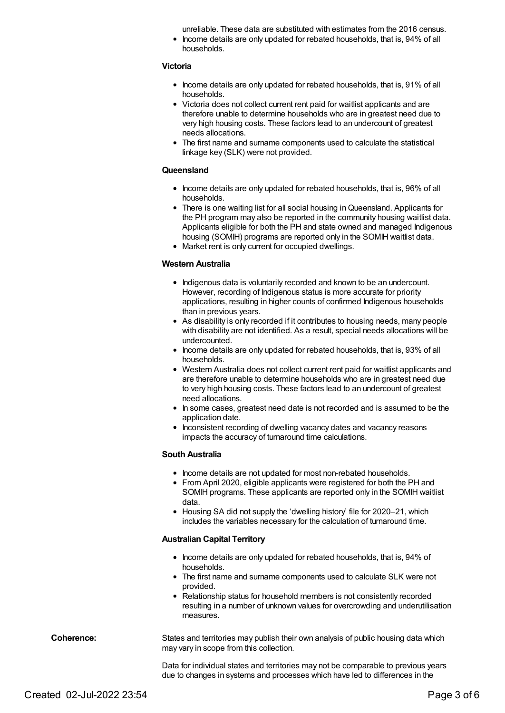unreliable. These data are substituted with estimates from the 2016 census.

Income details are only updated for rebated households, that is, 94% of all households.

#### **Victoria**

- Income details are only updated for rebated households, that is, 91% of all households.
- Victoria does not collect current rent paid for waitlist applicants and are therefore unable to determine households who are in greatest need due to very high housing costs. These factors lead to an undercount of greatest needs allocations.
- The first name and surname components used to calculate the statistical linkage key (SLK) were not provided.

#### **Queensland**

- Income details are only updated for rebated households, that is, 96% of all households.
- There is one waiting list for all social housing in Queensland. Applicants for the PH program may also be reported in the community housing waitlist data. Applicants eligible for both the PH and state owned and managed Indigenous housing (SOMIH) programs are reported only in the SOMIH waitlist data.
- Market rent is only current for occupied dwellings.

#### **Western Australia**

- Indigenous data is voluntarily recorded and known to be an undercount. However, recording of Indigenous status is more accurate for priority applications, resulting in higher counts of confirmed Indigenous households than in previous years.
- As disability is only recorded if it contributes to housing needs, many people with disability are not identified. As a result, special needs allocations will be undercounted.
- Income details are only updated for rebated households, that is, 93% of all households.
- Western Australia does not collect current rent paid for waitlist applicants and are therefore unable to determine households who are in greatest need due to very high housing costs. These factors lead to an undercount of greatest need allocations.
- In some cases, greatest need date is not recorded and is assumed to be the application date.
- Inconsistent recording of dwelling vacancy dates and vacancy reasons impacts the accuracy of turnaround time calculations.

#### **South Australia**

- Income details are not updated for most non-rebated households.
- From April 2020, eligible applicants were registered for both the PH and SOMIH programs. These applicants are reported only in the SOMIH waitlist data.
- Housing SA did not supply the 'dwelling history' file for 2020–21, which includes the variables necessary for the calculation of turnaround time.

#### **Australian Capital Territory**

- Income details are only updated for rebated households, that is, 94% of households.
- The first name and surname components used to calculate SLK were not provided.
- Relationship status for household members is not consistently recorded resulting in a number of unknown values for overcrowding and underutilisation measures.

**Coherence:** States and territories may publish their own analysis of public housing data which may vary in scope from this collection.

> Data for individual states and territories may not be comparable to previous years due to changes in systems and processes which have led to differences in the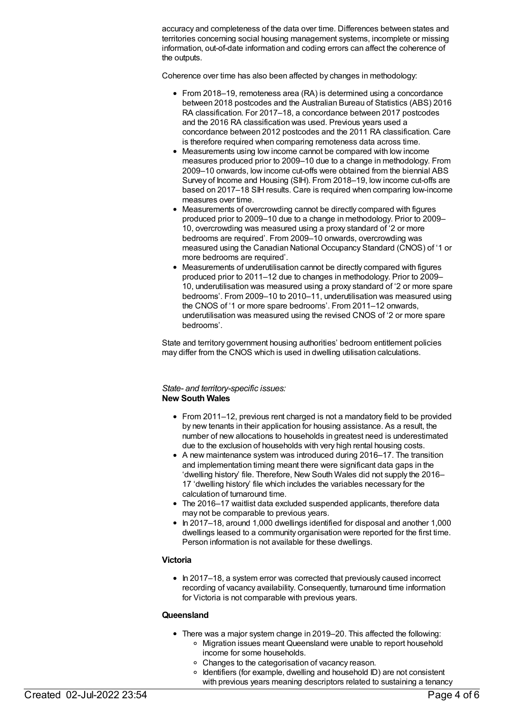accuracy and completeness of the data over time. Differences between states and territories concerning social housing management systems, incomplete or missing information, out-of-date information and coding errors can affect the coherence of the outputs.

Coherence over time has also been affected by changes in methodology:

- From 2018–19, remoteness area (RA) is determined using a concordance between 2018 postcodes and the Australian Bureau of Statistics (ABS) 2016 RA classification. For 2017–18, a concordance between 2017 postcodes and the 2016 RA classification was used. Previous years used a concordance between 2012 postcodes and the 2011 RA classification. Care is therefore required when comparing remoteness data across time.
- Measurements using low income cannot be compared with low income measures produced prior to 2009–10 due to a change in methodology. From 2009–10 onwards, low income cut-offs were obtained from the biennial ABS Survey of Income and Housing (SIH). From 2018–19, low income cut-offs are based on 2017–18 SIH results. Care is required when comparing low-income measures over time.
- Measurements of overcrowding cannot be directly compared with figures produced prior to 2009–10 due to a change in methodology. Prior to 2009– 10, overcrowding was measured using a proxy standard of '2 or more bedrooms are required'. From 2009–10 onwards, overcrowding was measured using the Canadian National Occupancy Standard (CNOS) of '1 or more bedrooms are required'.
- Measurements of underutilisation cannot be directly compared with figures produced prior to 2011–12 due to changes in methodology. Prior to 2009– 10, underutilisation was measured using a proxy standard of '2 or more spare bedrooms'. From 2009–10 to 2010–11, underutilisation was measured using the CNOS of '1 or more spare bedrooms'. From 2011–12 onwards, underutilisation was measured using the revised CNOS of '2 or more spare bedrooms'.

State and territory government housing authorities' bedroom entitlement policies may differ from the CNOS which is used in dwelling utilisation calculations.

#### *State- and territory-specific issues:* **New South Wales**

- From 2011–12, previous rent charged is not a mandatory field to be provided by new tenants in their application for housing assistance. As a result, the number of new allocations to households in greatest need is underestimated due to the exclusion of households with very high rental housing costs.
- A new maintenance system was introduced during 2016–17. The transition and implementation timing meant there were significant data gaps in the 'dwelling history' file. Therefore, New South Wales did not supply the 2016– 17 'dwelling history' file which includes the variables necessary for the calculation of turnaround time.
- The 2016–17 waitlist data excluded suspended applicants, therefore data may not be comparable to previous years.
- In 2017–18, around 1,000 dwellings identified for disposal and another 1,000 dwellings leased to a community organisation were reported for the first time. Person information is not available for these dwellings.

#### **Victoria**

• In 2017–18, a system error was corrected that previously caused incorrect recording of vacancy availability. Consequently, turnaround time information for Victoria is not comparable with previous years.

#### **Queensland**

- There was a major system change in 2019–20. This affected the following:
	- Migration issues meant Queensland were unable to report household income for some households.
	- Changes to the categorisation of vacancy reason.
	- $\circ$  Identifiers (for example, dwelling and household ID) are not consistent with previous years meaning descriptors related to sustaining a tenancy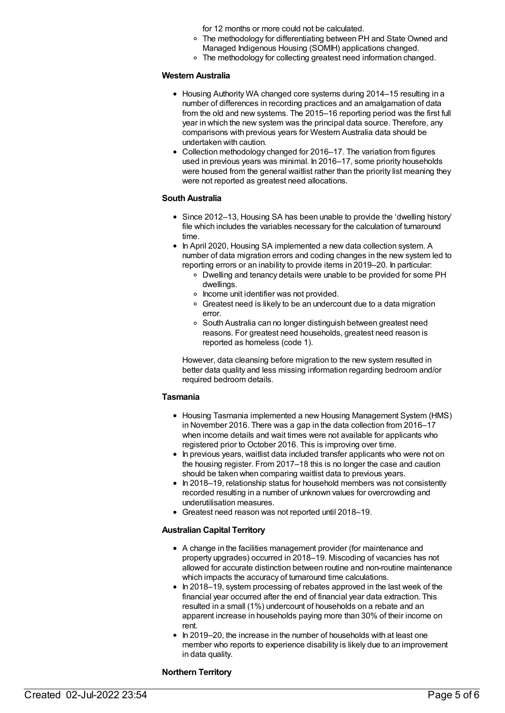for 12 months or more could not be calculated.

- The methodology for differentiating between PH and State Owned and Managed Indigenous Housing (SOMIH) applications changed.
- The methodology for collecting greatest need information changed.

#### **Western Australia**

- Housing Authority WA changed core systems during 2014–15 resulting in a number of differences in recording practices and an amalgamation of data from the old and new systems. The 2015–16 reporting period was the first full year in which the new system was the principal data source. Therefore, any comparisons with previous years for Western Australia data should be undertaken with caution.
- Collection methodology changed for 2016–17. The variation from figures used in previous years was minimal. In 2016–17, some priority households were housed from the general waitlist rather than the priority list meaning they were not reported as greatest need allocations.

#### **South Australia**

- Since 2012-13, Housing SA has been unable to provide the 'dwelling history' file which includes the variables necessary for the calculation of turnaround time.
- In April 2020, Housing SA implemented a new data collection system. A number of data migration errors and coding changes in the new system led to reporting errors or an inability to provide items in 2019–20. In particular:
	- Dwelling and tenancy details were unable to be provided for some PH dwellings.
	- o Income unit identifier was not provided.
	- Greatest need is likely to be an undercount due to a data migration error.
	- South Australia can no longer distinguish between greatest need reasons. For greatest need households, greatest need reason is reported as homeless (code 1).

However, data cleansing before migration to the new system resulted in better data quality and less missing information regarding bedroom and/or required bedroom details.

#### **Tasmania**

- Housing Tasmania implemented a new Housing Management System (HMS) in November 2016. There was a gap in the data collection from 2016–17 when income details and wait times were not available for applicants who registered prior to October 2016. This is improving over time.
- In previous years, waitlist data included transfer applicants who were not on the housing register. From 2017–18 this is no longer the case and caution should be taken when comparing waitlist data to previous years.
- In 2018–19, relationship status for household members was not consistently recorded resulting in a number of unknown values for overcrowding and underutilisation measures.
- Greatest need reason was not reported until 2018–19.

#### **Australian Capital Territory**

- A change in the facilities management provider (for maintenance and property upgrades) occurred in 2018–19. Miscoding of vacancies has not allowed for accurate distinction between routine and non-routine maintenance which impacts the accuracy of turnaround time calculations.
- $\bullet$  In 2018–19, system processing of rebates approved in the last week of the financial year occurred after the end of financial year data extraction. This resulted in a small (1%) undercount of households on a rebate and an apparent increase in households paying more than 30% of their income on rent.
- $\bullet$  In 2019–20, the increase in the number of households with at least one member who reports to experience disability is likely due to an improvement in data quality.

#### **Northern Territory**